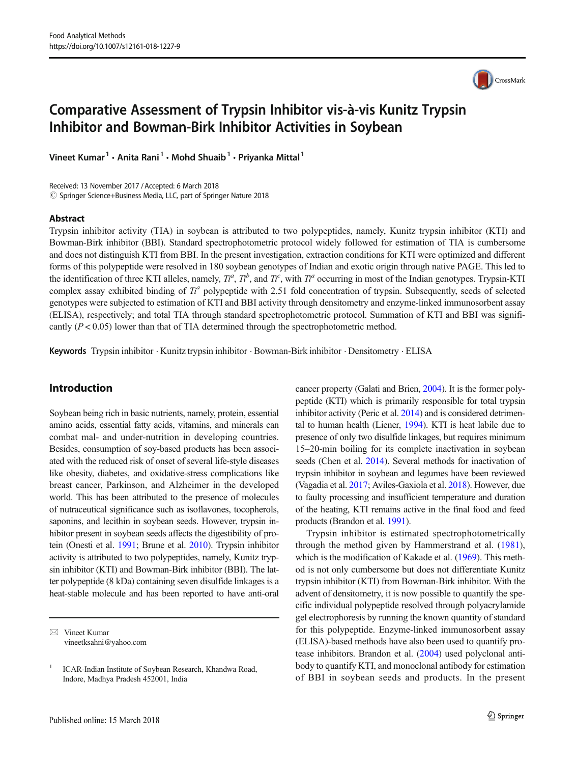# Comparative Assessment of Trypsin Inhibitor vis-à-vis Kunitz Trypsin Inhibitor and Bowman-Birk Inhibitor Activities in Soybean

Vineet Kumar<sup>1</sup> · Anita Rani<sup>1</sup> · Mohd Shuaib<sup>1</sup> · Priyanka Mittal<sup>1</sup>

Received: 13 November 2017 /Accepted: 6 March 2018 © Springer Science+Business Media, LLC, part of Springer Nature 2018

#### Abstract

Trypsin inhibitor activity (TIA) in soybean is attributed to two polypeptides, namely, Kunitz trypsin inhibitor (KTI) and Bowman-Birk inhibitor (BBI). Standard spectrophotometric protocol widely followed for estimation of TIA is cumbersome and does not distinguish KTI from BBI. In the present investigation, extraction conditions for KTI were optimized and different forms of this polypeptide were resolved in 180 soybean genotypes of Indian and exotic origin through native PAGE. This led to the identification of three KTI alleles, namely,  $T^a$ ,  $T^b$ , and  $T^c$ , with  $T^a$  occurring in most of the Indian genotypes. Trypsin-KTI complex assay exhibited binding of  $T^a$  polyneptide with 2.51 fold concentration complex assay exhibited binding of  $T<sup>a</sup>$  polypeptide with 2.51 fold concentration of trypsin. Subsequently, seeds of selected genotypes were subjected to estimation of KTI and BBI activity through densitometry and enzyme-linked immunosorbent assay (ELISA), respectively; and total TIA through standard spectrophotometric protocol. Summation of KTI and BBI was significantly  $(P < 0.05)$  lower than that of TIA determined through the spectrophotometric method.

Keywords Trypsin inhibitor . Kunitz trypsin inhibitor . Bowman-Birk inhibitor . Densitometry . ELISA

## Introduction

Soybean being rich in basic nutrients, namely, protein, essential amino acids, essential fatty acids, vitamins, and minerals can combat mal- and under-nutrition in developing countries. Besides, consumption of soy-based products has been associated with the reduced risk of onset of several life-style diseases like obesity, diabetes, and oxidative-stress complications like breast cancer, Parkinson, and Alzheimer in the developed world. This has been attributed to the presence of molecules of nutraceutical significance such as isoflavones, tocopherols, saponins, and lecithin in soybean seeds. However, trypsin inhibitor present in soybean seeds affects the digestibility of protein (Onesti et al. [1991](#page-6-0); Brune et al. [2010](#page-6-0)). Trypsin inhibitor activity is attributed to two polypeptides, namely, Kunitz trypsin inhibitor (KTI) and Bowman-Birk inhibitor (BBI). The latter polypeptide (8 kDa) containing seven disulfide linkages is a heat-stable molecule and has been reported to have anti-oral cancer property (Galati and Brien, [2004\)](#page-6-0). It is the former polypeptide (KTI) which is primarily responsible for total trypsin inhibitor activity (Peric et al. [2014\)](#page-6-0) and is considered detrimental to human health (Liener, [1994](#page-6-0)). KTI is heat labile due to presence of only two disulfide linkages, but requires minimum 15–20-min boiling for its complete inactivation in soybean seeds (Chen et al. [2014](#page-6-0)). Several methods for inactivation of trypsin inhibitor in soybean and legumes have been reviewed (Vagadia et al. [2017;](#page-6-0) Aviles-Gaxiola et al. [2018\)](#page-6-0). However, due to faulty processing and insufficient temperature and duration of the heating, KTI remains active in the final food and feed products (Brandon et al. [1991\)](#page-6-0).

Trypsin inhibitor is estimated spectrophotometrically through the method given by Hammerstrand et al. ([1981\)](#page-6-0), which is the modification of Kakade et al. [\(1969\)](#page-6-0). This method is not only cumbersome but does not differentiate Kunitz trypsin inhibitor (KTI) from Bowman-Birk inhibitor. With the advent of densitometry, it is now possible to quantify the specific individual polypeptide resolved through polyacrylamide gel electrophoresis by running the known quantity of standard for this polypeptide. Enzyme-linked immunosorbent assay (ELISA)-based methods have also been used to quantify protease inhibitors. Brandon et al. ([2004](#page-6-0)) used polyclonal antibody to quantify KTI, and monoclonal antibody for estimation of BBI in soybean seeds and products. In the present



 $\boxtimes$  Vineet Kumar [vineetksahni@yahoo.com](mailto:vineetksahni@yahoo.com)

<sup>1</sup> ICAR-Indian Institute of Soybean Research, Khandwa Road, Indore, Madhya Pradesh 452001, India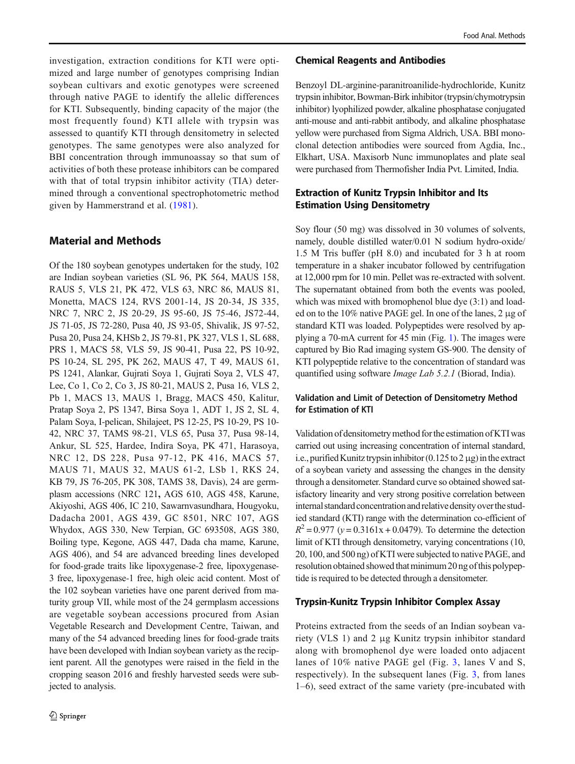investigation, extraction conditions for KTI were optimized and large number of genotypes comprising Indian soybean cultivars and exotic genotypes were screened through native PAGE to identify the allelic differences for KTI. Subsequently, binding capacity of the major (the most frequently found) KTI allele with trypsin was assessed to quantify KTI through densitometry in selected genotypes. The same genotypes were also analyzed for BBI concentration through immunoassay so that sum of activities of both these protease inhibitors can be compared with that of total trypsin inhibitor activity (TIA) determined through a conventional spectrophotometric method given by Hammerstrand et al. ([1981](#page-6-0)).

# Material and Methods

Of the 180 soybean genotypes undertaken for the study, 102 are Indian soybean varieties (SL 96, PK 564, MAUS 158, RAUS 5, VLS 21, PK 472, VLS 63, NRC 86, MAUS 81, Monetta, MACS 124, RVS 2001-14, JS 20-34, JS 335, NRC 7, NRC 2, JS 20-29, JS 95-60, JS 75-46, JS72-44, JS 71-05, JS 72-280, Pusa 40, JS 93-05, Shivalik, JS 97-52, Pusa 20, Pusa 24, KHSb 2, JS 79-81, PK 327, VLS 1, SL 688, PRS 1, MACS 58, VLS 59, JS 90-41, Pusa 22, PS 10-92, PS 10-24, SL 295, PK 262, MAUS 47, T 49, MAUS 61, PS 1241, Alankar, Gujrati Soya 1, Gujrati Soya 2, VLS 47, Lee, Co 1, Co 2, Co 3, JS 80-21, MAUS 2, Pusa 16, VLS 2, Pb 1, MACS 13, MAUS 1, Bragg, MACS 450, Kalitur, Pratap Soya 2, PS 1347, Birsa Soya 1, ADT 1, JS 2, SL 4, Palam Soya, I-pelican, Shilajeet, PS 12-25, PS 10-29, PS 10- 42, NRC 37, TAMS 98-21, VLS 65, Pusa 37, Pusa 98-14, Ankur, SL 525, Hardee, Indira Soya, PK 471, Harasoya, NRC 12, DS 228, Pusa 97-12, PK 416, MACS 57, MAUS 71, MAUS 32, MAUS 61-2, LSb 1, RKS 24, KB 79, JS 76-205, PK 308, TAMS 38, Davis), 24 are germplasm accessions (NRC 121, AGS 610, AGS 458, Karune, Akiyoshi, AGS 406, IC 210, Sawarnvasundhara, Hougyoku, Dadacha 2001, AGS 439, GC 8501, NRC 107, AGS Whydox, AGS 330, New Terpian, GC 693508, AGS 380, Boiling type, Kegone, AGS 447, Dada cha mame, Karune, AGS 406), and 54 are advanced breeding lines developed for food-grade traits like lipoxygenase-2 free, lipoxygenase-3 free, lipoxygenase-1 free, high oleic acid content. Most of the 102 soybean varieties have one parent derived from maturity group VII, while most of the 24 germplasm accessions are vegetable soybean accessions procured from Asian Vegetable Research and Development Centre, Taiwan, and many of the 54 advanced breeding lines for food-grade traits have been developed with Indian soybean variety as the recipient parent. All the genotypes were raised in the field in the cropping season 2016 and freshly harvested seeds were subjected to analysis.

#### Chemical Reagents and Antibodies

Benzoyl DL-arginine-paranitroanilide-hydrochloride, Kunitz trypsin inhibitor, Bowman-Birk inhibitor (trypsin/chymotrypsin inhibitor) lyophilized powder, alkaline phosphatase conjugated anti-mouse and anti-rabbit antibody, and alkaline phosphatase yellow were purchased from Sigma Aldrich, USA. BBI monoclonal detection antibodies were sourced from Agdia, Inc., Elkhart, USA. Maxisorb Nunc immunoplates and plate seal were purchased from Thermofisher India Pvt. Limited, India.

# Extraction of Kunitz Trypsin Inhibitor and Its Estimation Using Densitometry

Soy flour (50 mg) was dissolved in 30 volumes of solvents, namely, double distilled water/0.01 N sodium hydro-oxide/ 1.5 M Tris buffer (pH 8.0) and incubated for 3 h at room temperature in a shaker incubator followed by centrifugation at 12,000 rpm for 10 min. Pellet was re-extracted with solvent. The supernatant obtained from both the events was pooled, which was mixed with bromophenol blue dye  $(3:1)$  and loaded on to the 10% native PAGE gel. In one of the lanes, 2 μg of standard KTI was loaded. Polypeptides were resolved by applying a 70-mA current for 45 min (Fig. [1\)](#page-2-0). The images were captured by Bio Rad imaging system GS-900. The density of KTI polypeptide relative to the concentration of standard was quantified using software Image Lab 5.2.1 (Biorad, India).

## Validation and Limit of Detection of Densitometry Method for Estimation of KTI

Validation of densitometry method forthe estimation of KTI was carried out using increasing concentration of internal standard, i.e., purified Kunitz trypsin inhibitor  $(0.125 \text{ to } 2 \mu g)$  in the extract of a soybean variety and assessing the changes in the density through a densitometer. Standard curve so obtained showed satisfactory linearity and very strong positive correlation between internal standard concentration and relative density over the studied standard (KTI) range with the determination co-efficient of  $R^2 = 0.977$  (y = 0.3161x + 0.0479). To determine the detection limit of KTI through densitometry, varying concentrations (10, 20, 100, and 500 ng) of KTI were subjected to native PAGE, and resolution obtained showed that minimum 20 ng of this polypeptide is required to be detected through a densitometer.

## Trypsin-Kunitz Trypsin Inhibitor Complex Assay

Proteins extracted from the seeds of an Indian soybean variety (VLS 1) and 2 μg Kunitz trypsin inhibitor standard along with bromophenol dye were loaded onto adjacent lanes of 10% native PAGE gel (Fig. [3](#page-3-0), lanes V and S, respectively). In the subsequent lanes (Fig. [3](#page-3-0), from lanes 1–6), seed extract of the same variety (pre-incubated with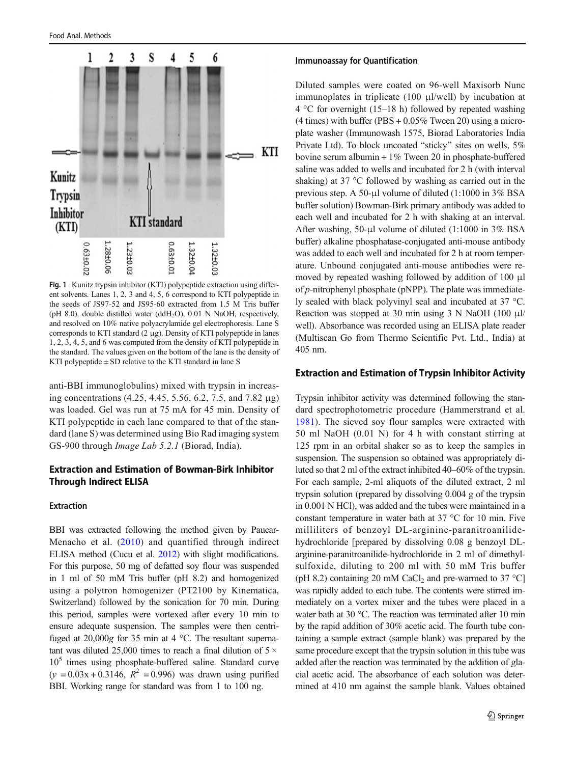<span id="page-2-0"></span>

Fig. 1 Kunitz trypsin inhibitor (KTI) polypeptide extraction using different solvents. Lanes 1, 2, 3 and 4, 5, 6 correspond to KTI polypeptide in the seeds of JS97-52 and JS95-60 extracted from 1.5 M Tris buffer (pH 8.0), double distilled water (ddH<sub>2</sub>O), 0.01 N NaOH, respectively, and resolved on 10% native polyacrylamide gel electrophoresis. Lane S corresponds to KTI standard (2 μg). Density of KTI polypeptide in lanes 1, 2, 3, 4, 5, and 6 was computed from the density of KTI polypeptide in the standard. The values given on the bottom of the lane is the density of KTI polypeptide  $\pm$  SD relative to the KTI standard in lane S

anti-BBI immunoglobulins) mixed with trypsin in increasing concentrations (4.25, 4.45, 5.56, 6.2, 7.5, and 7.82 μg) was loaded. Gel was run at 75 mA for 45 min. Density of KTI polypeptide in each lane compared to that of the standard (lane S) was determined using Bio Rad imaging system GS-900 through Image Lab 5.2.1 (Biorad, India).

## Extraction and Estimation of Bowman-Birk Inhibitor Through Indirect ELISA

#### Extraction

BBI was extracted following the method given by Paucar-Menacho et al. ([2010\)](#page-6-0) and quantified through indirect ELISA method (Cucu et al. [2012](#page-6-0)) with slight modifications. For this purpose, 50 mg of defatted soy flour was suspended in 1 ml of 50 mM Tris buffer (pH 8.2) and homogenized using a polytron homogenizer (PT2100 by Kinematica, Switzerland) followed by the sonication for 70 min. During this period, samples were vortexed after every 10 min to ensure adequate suspension. The samples were then centrifuged at 20,000g for 35 min at 4 °C. The resultant supernatant was diluted 25,000 times to reach a final dilution of  $5 \times$  $10<sup>5</sup>$  times using phosphate-buffered saline. Standard curve  $(y = 0.03x + 0.3146, R^2 = 0.996)$  was drawn using purified BBI. Working range for standard was from 1 to 100 ng.

#### Immunoassay for Quantification

Diluted samples were coated on 96-well Maxisorb Nunc immunoplates in triplicate (100 μl/well) by incubation at  $4^{\circ}$ C for overnight (15–18 h) followed by repeated washing (4 times) with buffer (PBS  $+0.05\%$  Tween 20) using a microplate washer (Immunowash 1575, Biorad Laboratories India Private Ltd). To block uncoated "sticky" sites on wells, 5% bovine serum albumin + 1% Tween 20 in phosphate-buffered saline was added to wells and incubated for 2 h (with interval shaking) at 37 °C followed by washing as carried out in the previous step. A 50-μl volume of diluted (1:1000 in 3% BSA buffer solution) Bowman-Birk primary antibody was added to each well and incubated for 2 h with shaking at an interval. After washing, 50-μl volume of diluted (1:1000 in 3% BSA buffer) alkaline phosphatase-conjugated anti-mouse antibody was added to each well and incubated for 2 h at room temperature. Unbound conjugated anti-mouse antibodies were removed by repeated washing followed by addition of 100 μl of  $p$ -nitrophenyl phosphate (pNPP). The plate was immediately sealed with black polyvinyl seal and incubated at 37 °C. Reaction was stopped at 30 min using 3 N NaOH (100 μl/ well). Absorbance was recorded using an ELISA plate reader (Multiscan Go from Thermo Scientific Pvt. Ltd., India) at 405 nm.

### Extraction and Estimation of Trypsin Inhibitor Activity

Trypsin inhibitor activity was determined following the standard spectrophotometric procedure (Hammerstrand et al. [1981](#page-6-0)). The sieved soy flour samples were extracted with 50 ml NaOH (0.01 N) for 4 h with constant stirring at 125 rpm in an orbital shaker so as to keep the samples in suspension. The suspension so obtained was appropriately diluted so that 2 ml of the extract inhibited 40–60% of the trypsin. For each sample, 2-ml aliquots of the diluted extract, 2 ml trypsin solution (prepared by dissolving 0.004 g of the trypsin in 0.001 N HCl), was added and the tubes were maintained in a constant temperature in water bath at 37 °C for 10 min. Five milliliters of benzoyl DL-arginine-paranitroanilidehydrochloride [prepared by dissolving 0.08 g benzoyl DLarginine-paranitroanilide-hydrochloride in 2 ml of dimethylsulfoxide, diluting to 200 ml with 50 mM Tris buffer (pH 8.2) containing 20 mM CaCl<sub>2</sub> and pre-warmed to 37 °C] was rapidly added to each tube. The contents were stirred immediately on a vortex mixer and the tubes were placed in a water bath at 30 °C. The reaction was terminated after 10 min by the rapid addition of 30% acetic acid. The fourth tube containing a sample extract (sample blank) was prepared by the same procedure except that the trypsin solution in this tube was added after the reaction was terminated by the addition of glacial acetic acid. The absorbance of each solution was determined at 410 nm against the sample blank. Values obtained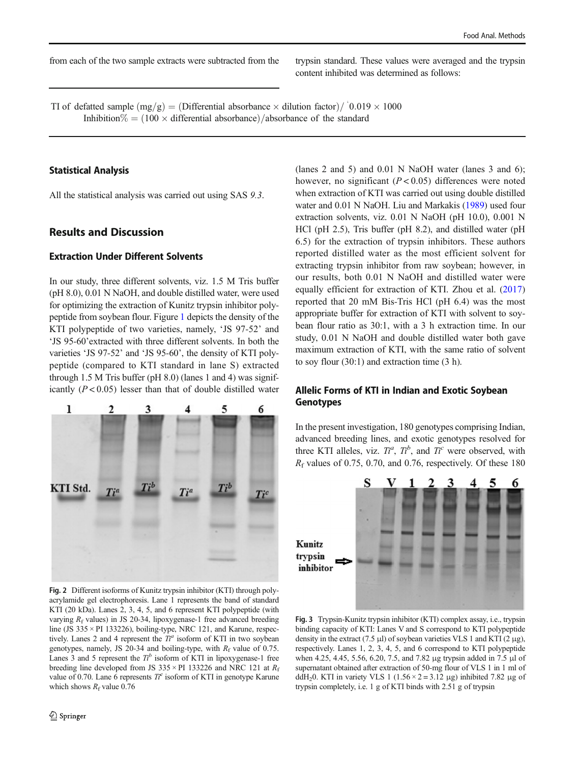<span id="page-3-0"></span>from each of the two sample extracts were subtracted from the trypsin standard. These values were averaged and the trypsin

TI of defatted sample  $(mg/g) = (Differential absorbance \times dilution factor) / (0.019 \times 1000)$ Inhibition  $\% = (100 \times$  differential absorbance)/absorbance of the standard

## Statistical Analysis

All the statistical analysis was carried out using SAS 9.3.

## Results and Discussion

### Extraction Under Different Solvents

In our study, three different solvents, viz. 1.5 M Tris buffer (pH 8.0), 0.01 N NaOH, and double distilled water, were used for optimizing the extraction of Kunitz trypsin inhibitor polypeptide from soybean flour. Figure [1](#page-2-0) depicts the density of the KTI polypeptide of two varieties, namely, 'JS 97-52' and 'JS 95-60'extracted with three different solvents. In both the varieties 'JS 97-52' and 'JS 95-60', the density of KTI polypeptide (compared to KTI standard in lane S) extracted through 1.5 M Tris buffer (pH 8.0) (lanes 1 and 4) was significantly  $(P < 0.05)$  lesser than that of double distilled water



Fig. 2 Different isoforms of Kunitz trypsin inhibitor (KTI) through polyacrylamide gel electrophoresis. Lane 1 represents the band of standard KTI (20 kDa). Lanes 2, 3, 4, 5, and 6 represent KTI polypeptide (with varying  $R_f$  values) in JS 20-34, lipoxygenase-1 free advanced breeding line (JS  $335 \times$  PI 133226), boiling-type, NRC 121, and Karune, respectively. Lanes 2 and 4 represent the  $T<sup>a</sup>$  isoform of KTI in two soybean genotypes, namely, JS 20-34 and boiling-type, with  $R_f$  value of 0.75. Lanes 3 and 5 represent the  $T<sup>b</sup>$  isoform of KTI in lipoxygenase-1 free breeding line developed from JS 335  $\times$  PI 133226 and NRC 121 at  $R_f$ value of 0.70. Lane 6 represents  $T_i^c$  isoform of KTI in genotype Karune which shows  $R_f$  value 0.76

(lanes 2 and 5) and 0.01 N NaOH water (lanes 3 and 6); however, no significant  $(P < 0.05)$  differences were noted when extraction of KTI was carried out using double distilled water and 0.01 N NaOH. Liu and Markakis [\(1989\)](#page-6-0) used four extraction solvents, viz. 0.01 N NaOH (pH 10.0), 0.001 N HCl (pH 2.5), Tris buffer (pH 8.2), and distilled water (pH 6.5) for the extraction of trypsin inhibitors. These authors reported distilled water as the most efficient solvent for extracting trypsin inhibitor from raw soybean; however, in our results, both 0.01 N NaOH and distilled water were equally efficient for extraction of KTI. Zhou et al. [\(2017](#page-6-0)) reported that 20 mM Bis-Tris HCl (pH 6.4) was the most appropriate buffer for extraction of KTI with solvent to soybean flour ratio as 30:1, with a 3 h extraction time. In our study, 0.01 N NaOH and double distilled water both gave maximum extraction of KTI, with the same ratio of solvent to soy flour (30:1) and extraction time (3 h).

## Allelic Forms of KTI in Indian and Exotic Soybean Genotypes

In the present investigation, 180 genotypes comprising Indian, advanced breeding lines, and exotic genotypes resolved for three KTI alleles, viz.  $T_i^a$ ,  $T_i^b$ , and  $T_i^c$  were observed, with  $R_i$  values of 0.75, 0.70, and 0.76 respectively. Of these 180  $R_f$  values of 0.75, 0.70, and 0.76, respectively. Of these 180



Fig. 3 Trypsin-Kunitz trypsin inhibitor (KTI) complex assay, i.e., trypsin binding capacity of KTI: Lanes V and S correspond to KTI polypeptide density in the extract (7.5 μl) of soybean varieties VLS 1 and KTI (2 μg), respectively. Lanes 1, 2, 3, 4, 5, and 6 correspond to KTI polypeptide when 4.25, 4.45, 5.56, 6.20, 7.5, and 7.82 μg trypsin added in 7.5 μl of supernatant obtained after extraction of 50-mg flour of VLS 1 in 1 ml of ddH<sub>2</sub>0. KTI in variety VLS 1 (1.56 × 2 = 3.12 μg) inhibited 7.82 μg of trypsin completely, i.e. 1 g of KTI binds with 2.51 g of trypsin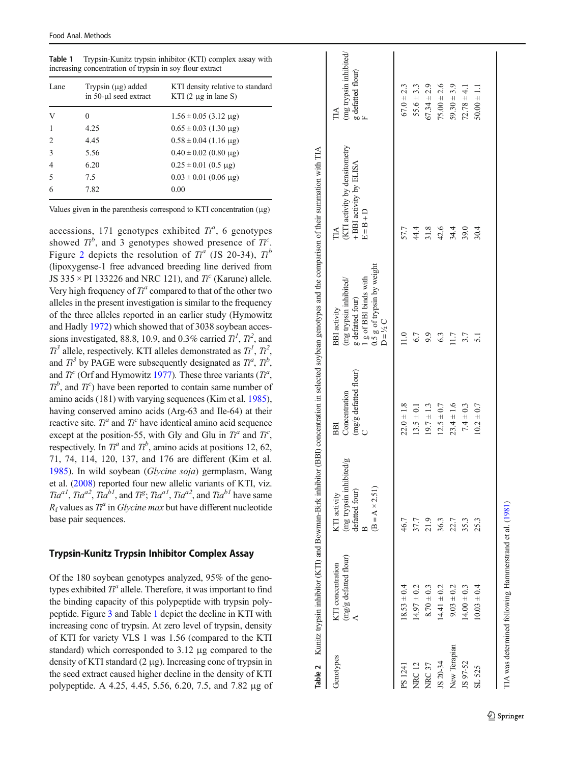<span id="page-4-0"></span>Table 1 Trypsin-Kunitz trypsin inhibitor (KTI) complex assay with increasing concentration of trypsin in soy flour extract

| Lane                          | Trypsin $(\mu g)$ added<br>in 50-µl seed extract | KTI density relative to standard<br>KTI $(2 \mu g)$ in lane S) |
|-------------------------------|--------------------------------------------------|----------------------------------------------------------------|
| V                             | 0                                                | $1.56 \pm 0.05$ (3.12 µg)                                      |
|                               | 4.25                                             | $0.65 \pm 0.03$ (1.30 µg)                                      |
| $\mathfrak{D}_{\mathfrak{p}}$ | 4.45                                             | $0.58 \pm 0.04$ (1.16 µg)                                      |
| 3                             | 5.56                                             | $0.40 \pm 0.02$ (0.80 µg)                                      |
| 4                             | 6.20                                             | $0.25 \pm 0.01$ (0.5 µg)                                       |
| 5                             | 7.5                                              | $0.03 \pm 0.01$ (0.06 µg)                                      |
| 6                             | 7.82                                             | 0.00                                                           |

Values given in the parenthesis correspond to KTI concentration ( μg)

accessions, 171 genotypes exhibited  $T_i^a$ , 6 genotypes<br>showed  $T_i^b$  and 3 genotypes showed presence of  $T_i^c$ showed  $T_i^b$ , and 3 genotypes showed presence of  $T_i^c$ .<br>Figure 2 deniate the resolution of  $T_i^a$  (IS 20.34)  $T_i^b$ Figure [2](#page-3-0) depicts the resolution of  $T<sup>a</sup>$  (JS 20-34),  $T<sup>b</sup>$ <br>(linexygence 1 free advanced breeding line derived from (lipoxygense-1 free advanced breeding line derived from JS 335  $\times$  PI 133226 and NRC 121), and  $T_f^c$  (Karune) allele.<br>Very high frequency of  $T_f^a$  compared to that of the other two Very high frequency of  $T<sup>a</sup>$  compared to that of the other two alleles in the present investigation is similar to the frequency alleles in the present investigation is similar to the frequency of the three alleles reported in an earlier study (Hymowitz and Hadly [1972\)](#page-6-0) which showed that of 3038 soybean accessions investigated, 88.8, 10.9, and 0.3% carried  $T_1^1$ ,  $T_1^2$ , and  $T_2^3$  allele, respectively KTI alleles demonstrated as  $T_1^1$ ,  $T_1^2$ and  $T_i^3$  by PAGE were subsequently designated as  $T_i^a$ ,  $T_i^b$ , <sup>3</sup> allele, respectively. KTI alleles demonstrated as  $T_t^i$ ,  $T_t^2$ ,  $T_t^3$  by PAGE were subsequently designated as  $T_t^a$ ,  $T_t^b$ and  $T_c^c$  (Orf and Hymowitz [1977](#page-6-0)). These three variants  $(T_c^a, T_c^b)$  and  $T_c^c$ ) have been reported to contain same number of amino acids  $(181)$  with varying sequences (Kim et al. [1985](#page-6-0)), <sup>b</sup>, and  $T_c^c$ ) have been reported to contain same number of  $\min$  accelerate (Kim et al. 1985) having conserved amino acids (Arg-63 and Ile-64) at their reactive site.  $T_t^a$  and  $T_t^c$  have identical amino acid sequence<br>except at the position 55, with Gly and Glu in  $T_t^a$  and  $T_t^c$ except at the position-55, with Gly and Glu in  $T_t^a$  and  $T_c^c$ ,<br>respectively. In  $T_a^a$  and  $T_c^b$  animo acids at positions 12.62 respectively. In  $T_1^a$  and  $T_1^b$ , amino acids at positions 12, 62,<br>71, 74, 114, 120, 137, and 176 are different (Kim et al. 71, 74, 114, 120, 137, and 176 are different (Kim et al. [1985\)](#page-6-0). In wild soybean (Glycine soja) germplasm, Wang et al. [\(2008\)](#page-6-0) reported four new allelic variants of KTI, viz. 11a<br>Raya ,  $Tia^{a2}$ ,  $Tia^{b1}$ , and  $Ti^{e}$ ;  $Tia^{a1}$ ,  $Tia^{a2}$ , and  $Tia^{b1}$  have same<br>lues as  $Ti^{a}$  in *Ghysina may* but have different nucleotide base pair sequences. f values as  $T_i^a$  in *Glycine max* but have different nucleotide

## Trypsin-Kunitz Trypsin Inhibitor Complex Assay

Of the 180 soybean genotypes analyzed, 95% of the genotypes exhibited  $T<sup>a</sup>$  allele. Therefore, it was important to find the binding capacity of this polypeptide with trypsin polypeptide. Figure [3](#page-3-0) and Table 1 depict the decline in KTI with increasing conc of trypsin. At zero level of trypsin, density of KTI for variety VLS 1 was 1.56 (compared to the KTI standard) which corresponded to 3.12 μg compared to the density of KTI standard (2 μg). Increasing conc of trypsin in the seed extract caused higher decline in the density of KTI polypeptide. A 4.25, 4.45, 5.56, 6.20, 7.5, and 7.82 μg of

|              |                                                         |                                                                                         |                                               | Table 2 Kunitz trypsin inhibitor (KTI) and Bowman-Birk inhibitor (BBI) concentration in selected soybean genotypes and the comparison of their summation with TIA |                                                                               |                              |
|--------------|---------------------------------------------------------|-----------------------------------------------------------------------------------------|-----------------------------------------------|-------------------------------------------------------------------------------------------------------------------------------------------------------------------|-------------------------------------------------------------------------------|------------------------------|
| Genotypes    | (mg/g defatted flour)<br>KTI concentration              | (mg trypsin inhibited/g<br>$(B = A \times 2.51)$<br>defatted four)<br>KTI activity<br>≃ | (mg/g defatted flour)<br>Concentration<br>BBI | 0.5 g of trypsin by weight<br>1 g of BBI binds with<br>(mg trypsin inhibited/<br>g defatted four)<br><b>BBI</b> activity<br>$D = V_2 C$                           | (KTI activity by densitometry<br>+ BBI activity by ELISA<br>$E = B + D$<br>ПA | (mg trypsin inhibited/<br>ПA |
| PS 1241      | $18.53 \pm 0.4$                                         | 46.7                                                                                    | $22.0 \pm 1.8$                                | $\frac{0}{11}$                                                                                                                                                    | 57.7                                                                          | $67.0 \pm 2.3$               |
| <b>NRC12</b> | $14.97 \pm 0.2$                                         | 37.7                                                                                    | $13.5 \pm 0.1$                                | 6.7                                                                                                                                                               | 44.4                                                                          | $55.6 \pm 3.3$               |
| NRC37        | $8.70 \pm 0.3$                                          | 21.9                                                                                    | $19.7 \pm 1.3$                                | 9.9                                                                                                                                                               | 31.8                                                                          | $67.34 \pm 2.9$              |
| JS 20-34     | $14.41 \pm 0.2$                                         | 36.3                                                                                    | $12.5 \pm 0.7$                                | 6.3                                                                                                                                                               | 42.6                                                                          | $75.00 \pm 2.6$              |
| New Terapian | $9.03 \pm 0.2$                                          | 22.7                                                                                    | $23.4 \pm 1.6$                                | 1.7                                                                                                                                                               | 34.4                                                                          | $59.30 \pm 3.9$              |
| JS 97-52     | $14.00 \pm 0.3$                                         | 35.3                                                                                    | $7.4 \pm 0.3$                                 |                                                                                                                                                                   | 39.0                                                                          | $72.78 \pm 4.1$              |
| SL 525       | $10.03 \pm 0.4$                                         | 25.3                                                                                    | $10.2 \pm 0.7$                                |                                                                                                                                                                   | 30.4                                                                          | $50.00 \pm 1.1$              |
|              | TIA was determined following Hammerstrand et al. (1981) |                                                                                         |                                               |                                                                                                                                                                   |                                                                               |                              |
|              |                                                         |                                                                                         |                                               |                                                                                                                                                                   |                                                                               |                              |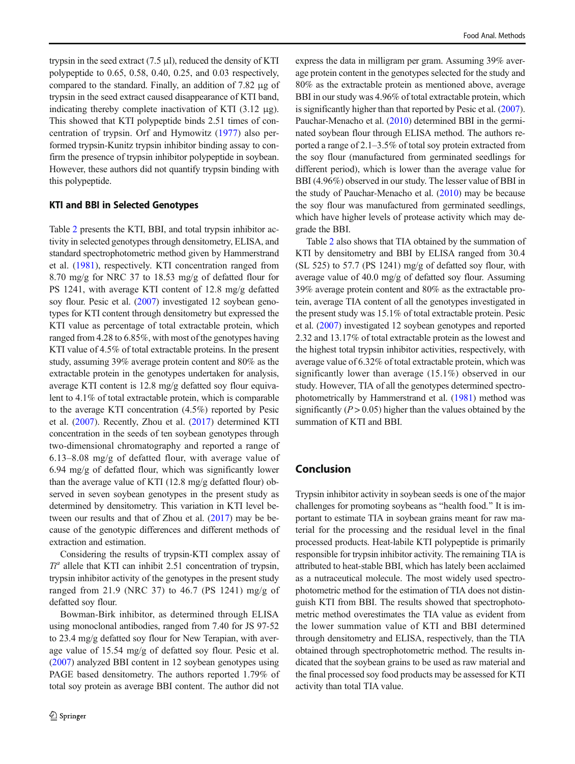trypsin in the seed extract (7.5 μl), reduced the density of KTI polypeptide to 0.65, 0.58, 0.40, 0.25, and 0.03 respectively, compared to the standard. Finally, an addition of 7.82 μg of trypsin in the seed extract caused disappearance of KTI band, indicating thereby complete inactivation of KTI (3.12 μg). This showed that KTI polypeptide binds 2.51 times of concentration of trypsin. Orf and Hymowitz [\(1977](#page-6-0)) also performed trypsin-Kunitz trypsin inhibitor binding assay to confirm the presence of trypsin inhibitor polypeptide in soybean. However, these authors did not quantify trypsin binding with this polypeptide.

## KTI and BBI in Selected Genotypes

Table [2](#page-4-0) presents the KTI, BBI, and total trypsin inhibitor activity in selected genotypes through densitometry, ELISA, and standard spectrophotometric method given by Hammerstrand et al. ([1981](#page-6-0)), respectively. KTI concentration ranged from 8.70 mg/g for NRC 37 to 18.53 mg/g of defatted flour for PS 1241, with average KTI content of 12.8 mg/g defatted soy flour. Pesic et al. [\(2007\)](#page-6-0) investigated 12 soybean genotypes for KTI content through densitometry but expressed the KTI value as percentage of total extractable protein, which ranged from 4.28 to 6.85%, with most of the genotypes having KTI value of 4.5% of total extractable proteins. In the present study, assuming 39% average protein content and 80% as the extractable protein in the genotypes undertaken for analysis, average KTI content is 12.8 mg/g defatted soy flour equivalent to 4.1% of total extractable protein, which is comparable to the average KTI concentration (4.5%) reported by Pesic et al. [\(2007\)](#page-6-0). Recently, Zhou et al. ([2017](#page-6-0)) determined KTI concentration in the seeds of ten soybean genotypes through two-dimensional chromatography and reported a range of 6.13–8.08 mg/g of defatted flour, with average value of  $6.94 \text{ mg/g}$  of defatted flour, which was significantly lower than the average value of KTI (12.8 mg/g defatted flour) observed in seven soybean genotypes in the present study as determined by densitometry. This variation in KTI level between our results and that of Zhou et al. [\(2017\)](#page-6-0) may be because of the genotypic differences and different methods of extraction and estimation.

Considering the results of trypsin-KTI complex assay of  $T<sup>a</sup>$  allele that KTI can inhibit 2.51 concentration of trypsin, trypsin inhibitor activity of the genotypes in the present study ranged from 21.9 (NRC 37) to 46.7 (PS 1241) mg/g of defatted soy flour.

Bowman-Birk inhibitor, as determined through ELISA using monoclonal antibodies, ranged from 7.40 for JS 97-52 to 23.4 mg/g defatted soy flour for New Terapian, with average value of 15.54 mg/g of defatted soy flour. Pesic et al. [\(2007\)](#page-6-0) analyzed BBI content in 12 soybean genotypes using PAGE based densitometry. The authors reported 1.79% of total soy protein as average BBI content. The author did not

express the data in milligram per gram. Assuming 39% average protein content in the genotypes selected for the study and 80% as the extractable protein as mentioned above, average BBI in our study was 4.96% of total extractable protein, which is significantly higher than that reported by Pesic et al. [\(2007\)](#page-6-0). Pauchar-Menacho et al. ([2010](#page-6-0)) determined BBI in the germinated soybean flour through ELISA method. The authors reported a range of 2.1–3.5% of total soy protein extracted from the soy flour (manufactured from germinated seedlings for different period), which is lower than the average value for BBI (4.96%) observed in our study. The lesser value of BBI in the study of Pauchar-Menacho et al. [\(2010](#page-6-0)) may be because the soy flour was manufactured from germinated seedlings, which have higher levels of protease activity which may degrade the BBI.

Table [2](#page-4-0) also shows that TIA obtained by the summation of KTI by densitometry and BBI by ELISA ranged from 30.4 (SL 525) to 57.7 (PS 1241) mg/g of defatted soy flour, with average value of 40.0 mg/g of defatted soy flour. Assuming 39% average protein content and 80% as the extractable protein, average TIA content of all the genotypes investigated in the present study was 15.1% of total extractable protein. Pesic et al. [\(2007\)](#page-6-0) investigated 12 soybean genotypes and reported 2.32 and 13.17% of total extractable protein as the lowest and the highest total trypsin inhibitor activities, respectively, with average value of 6.32% of total extractable protein, which was significantly lower than average (15.1%) observed in our study. However, TIA of all the genotypes determined spectrophotometrically by Hammerstrand et al. [\(1981](#page-6-0)) method was significantly ( $P > 0.05$ ) higher than the values obtained by the summation of KTI and BBI.

## Conclusion

Trypsin inhibitor activity in soybean seeds is one of the major challenges for promoting soybeans as "health food." It is important to estimate TIA in soybean grains meant for raw material for the processing and the residual level in the final processed products. Heat-labile KTI polypeptide is primarily responsible for trypsin inhibitor activity. The remaining TIA is attributed to heat-stable BBI, which has lately been acclaimed as a nutraceutical molecule. The most widely used spectrophotometric method for the estimation of TIA does not distinguish KTI from BBI. The results showed that spectrophotometric method overestimates the TIA value as evident from the lower summation value of KTI and BBI determined through densitometry and ELISA, respectively, than the TIA obtained through spectrophotometric method. The results indicated that the soybean grains to be used as raw material and the final processed soy food products may be assessed for KTI activity than total TIA value.